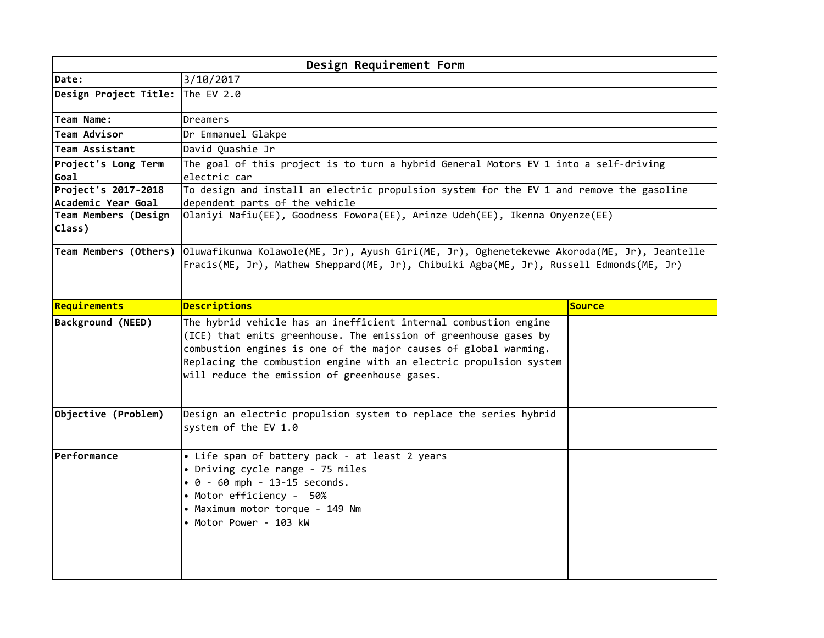| Design Requirement Form        |                                                                                                                                                                                                                                                                                                                                 |               |  |
|--------------------------------|---------------------------------------------------------------------------------------------------------------------------------------------------------------------------------------------------------------------------------------------------------------------------------------------------------------------------------|---------------|--|
| Date:                          | 3/10/2017                                                                                                                                                                                                                                                                                                                       |               |  |
| Design Project Title:          | The EV 2.0                                                                                                                                                                                                                                                                                                                      |               |  |
| Team Name:                     | Dreamers                                                                                                                                                                                                                                                                                                                        |               |  |
| Team Advisor                   | Dr Emmanuel Glakpe                                                                                                                                                                                                                                                                                                              |               |  |
| Team Assistant                 | David Quashie Jr                                                                                                                                                                                                                                                                                                                |               |  |
| Project's Long Term            | The goal of this project is to turn a hybrid General Motors EV 1 into a self-driving                                                                                                                                                                                                                                            |               |  |
| <b>Goal</b>                    | electric car                                                                                                                                                                                                                                                                                                                    |               |  |
| Project's 2017-2018            | To design and install an electric propulsion system for the EV 1 and remove the gasoline                                                                                                                                                                                                                                        |               |  |
| Academic Year Goal             | dependent parts of the vehicle                                                                                                                                                                                                                                                                                                  |               |  |
| Team Members (Design<br>Class) | Olaniyi Nafiu(EE), Goodness Fowora(EE), Arinze Udeh(EE), Ikenna Onyenze(EE)                                                                                                                                                                                                                                                     |               |  |
| Team Members (Others)          | Oluwafikunwa Kolawole(ME, Jr), Ayush Giri(ME, Jr), Oghenetekevwe Akoroda(ME, Jr), Jeantelle<br>Fracis(ME, Jr), Mathew Sheppard(ME, Jr), Chibuiki Agba(ME, Jr), Russell Edmonds(ME, Jr)                                                                                                                                          |               |  |
| Requirements                   | <b>Descriptions</b>                                                                                                                                                                                                                                                                                                             | <b>Source</b> |  |
| Background (NEED)              | The hybrid vehicle has an inefficient internal combustion engine<br>(ICE) that emits greenhouse. The emission of greenhouse gases by<br>combustion engines is one of the major causes of global warming.<br>Replacing the combustion engine with an electric propulsion system<br>will reduce the emission of greenhouse gases. |               |  |
| Objective (Problem)            | Design an electric propulsion system to replace the series hybrid<br>system of the EV 1.0                                                                                                                                                                                                                                       |               |  |
| Performance                    | • Life span of battery pack - at least 2 years<br>• Driving cycle range - 75 miles<br>$\bullet$ 0 - 60 mph - 13-15 seconds.<br>• Motor efficiency - 50%<br>• Maximum motor torque - 149 Nm<br>• Motor Power - 103 kW                                                                                                            |               |  |